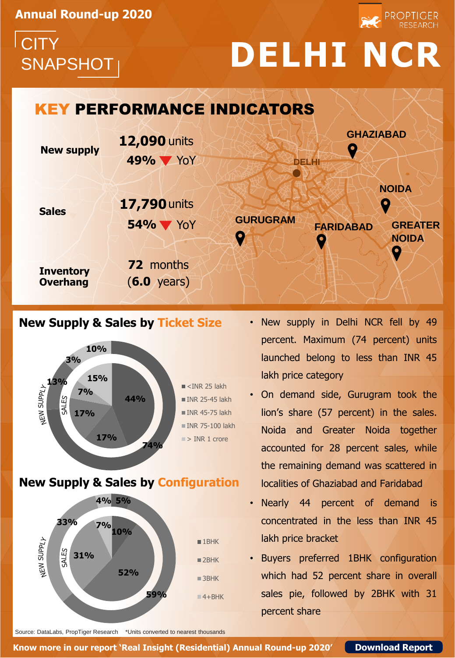**Annual Round-up 2020**



## SNAPSHOT **DELHI NCR**

# **CITY**

#### KEY PERFORMANCE INDICATORS **GHAZIABAD 12,090** units **New supply** Q **49%** YoY **DELHI NOIDA 17,790** units **Sales FARIDABAD GURUGRAM GREATER 54%** YoY **NOIDA**

**Inventory Overhang**

**72** months (**6.0** years)

### **New Supply & Sales by Ticket Size**



**New Supply & Sales by Configuration**



- New supply in Delhi NCR fell by 49 percent. Maximum (74 percent) units launched belong to less than INR 45 lakh price category
- On demand side, Gurugram took the lion's share (57 percent) in the sales. Noida and Greater Noida together accounted for 28 percent sales, while the remaining demand was scattered in localities of Ghaziabad and Faridabad
- Nearly 44 percent of demand is concentrated in the less than INR 45 lakh price bracket
- Buyers preferred 1BHK configuration which had 52 percent share in overall sales pie, followed by 2BHK with 31 percent share

Source: DataLabs, PropTiger Research \*Units converted to nearest thousands